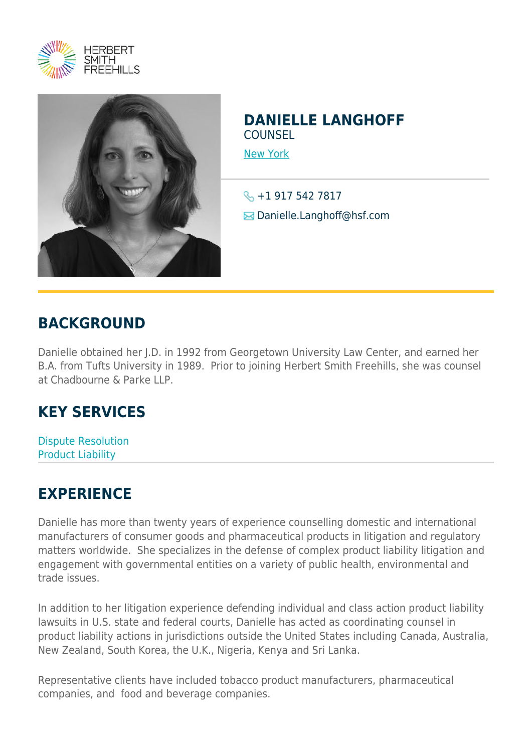



## **DANIELLE LANGHOFF COUNSEL**

[New York](https://www.herbertsmithfreehills.com/where-we-work/new-york)

S +1 917 542 7817 **E** Danielle.Langhoff@hsf.com

## **BACKGROUND**

Danielle obtained her J.D. in 1992 from Georgetown University Law Center, and earned her B.A. from Tufts University in 1989. Prior to joining Herbert Smith Freehills, she was counsel at Chadbourne & Parke LLP.

## **KEY SERVICES**

Dispute Resolution Product Liability

## **EXPERIENCE**

Danielle has more than twenty years of experience counselling domestic and international manufacturers of consumer goods and pharmaceutical products in litigation and regulatory matters worldwide. She specializes in the defense of complex product liability litigation and engagement with governmental entities on a variety of public health, environmental and trade issues.

In addition to her litigation experience defending individual and class action product liability lawsuits in U.S. state and federal courts, Danielle has acted as coordinating counsel in product liability actions in jurisdictions outside the United States including Canada, Australia, New Zealand, South Korea, the U.K., Nigeria, Kenya and Sri Lanka.

Representative clients have included tobacco product manufacturers, pharmaceutical companies, and food and beverage companies.